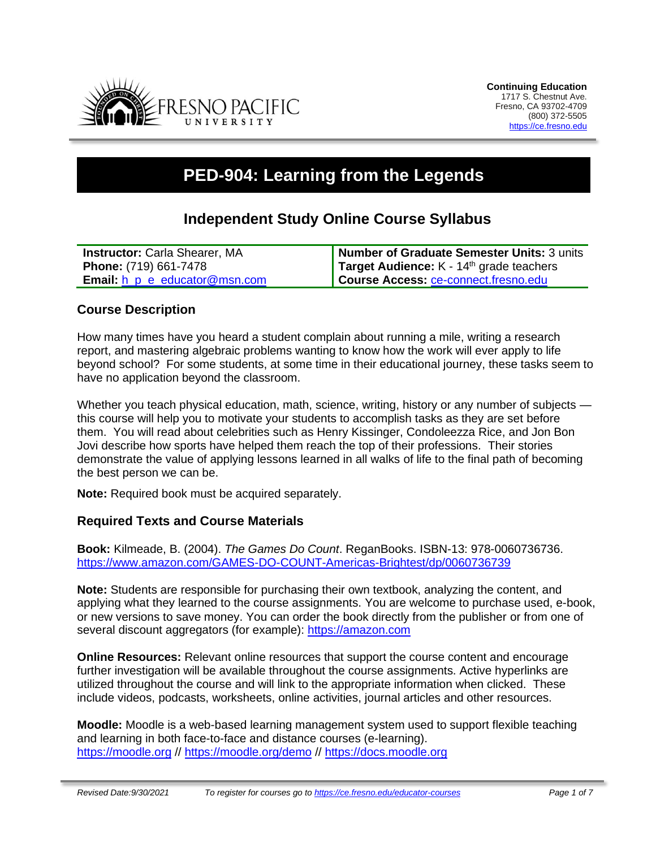

# **PED-904: Learning from the Legends**

# **Independent Study Online Course Syllabus**

| <b>Instructor:</b> Carla Shearer, MA       | Number of Graduate Semester Units: 3 units |
|--------------------------------------------|--------------------------------------------|
| <b>Phone:</b> (719) 661-7478               | Target Audience: $K - 14th$ grade teachers |
| <b>Email:</b> $h$ $p$ $e$ educator@msn.com | Course Access: ce-connect.fresno.edu       |

### **Course Description**

How many times have you heard a student complain about running a mile, writing a research report, and mastering algebraic problems wanting to know how the work will ever apply to life beyond school? For some students, at some time in their educational journey, these tasks seem to have no application beyond the classroom.

Whether you teach physical education, math, science, writing, history or any number of subjects this course will help you to motivate your students to accomplish tasks as they are set before them. You will read about celebrities such as Henry Kissinger, Condoleezza Rice, and Jon Bon Jovi describe how sports have helped them reach the top of their professions. Their stories demonstrate the value of applying lessons learned in all walks of life to the final path of becoming the best person we can be.

**Note:** Required book must be acquired separately.

### **Required Texts and Course Materials**

**Book:** Kilmeade, B. (2004). *The Games Do Count*. ReganBooks. ISBN-13: 978-0060736736. <https://www.amazon.com/GAMES-DO-COUNT-Americas-Brightest/dp/0060736739>

**Note:** Students are responsible for purchasing their own textbook, analyzing the content, and applying what they learned to the course assignments. You are welcome to purchase used, e-book, or new versions to save money. You can order the book directly from the publisher or from one of several discount aggregators (for example): [https://amazon.com](https://amazon.com/)

**Online Resources:** Relevant online resources that support the course content and encourage further investigation will be available throughout the course assignments. Active hyperlinks are utilized throughout the course and will link to the appropriate information when clicked. These include videos, podcasts, worksheets, online activities, journal articles and other resources.

**Moodle:** Moodle is a web-based learning management system used to support flexible teaching and learning in both face-to-face and distance courses (e-learning). [https://moodle.org](https://moodle.org/) // <https://moodle.org/demo> // [https://docs.moodle.org](https://docs.moodle.org/)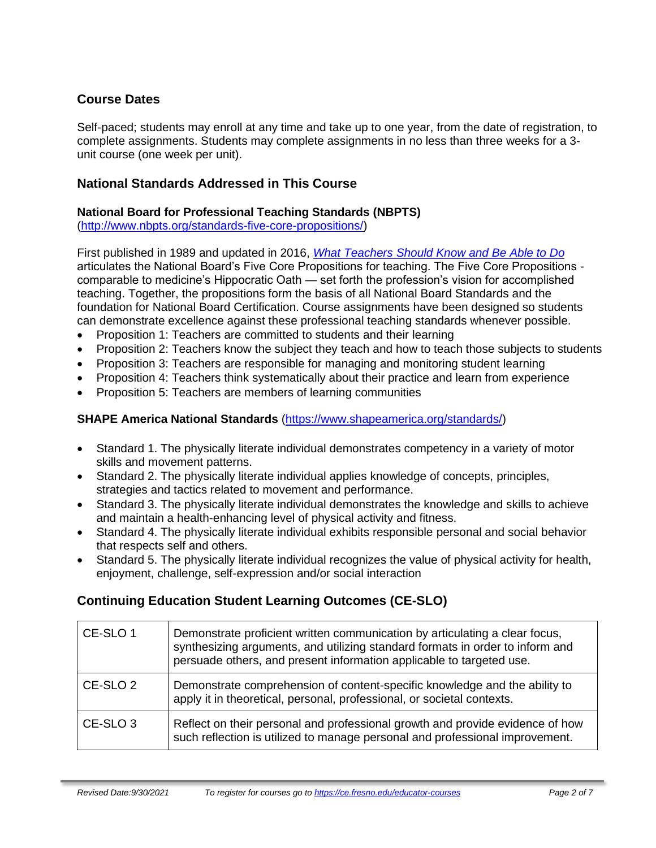# **Course Dates**

Self-paced; students may enroll at any time and take up to one year, from the date of registration, to complete assignments. Students may complete assignments in no less than three weeks for a 3 unit course (one week per unit).

# **National Standards Addressed in This Course**

# **National Board for Professional Teaching Standards (NBPTS)**

[\(http://www.nbpts.org/standards-five-core-propositions/\)](http://www.nbpts.org/standards-five-core-propositions/)

First published in 1989 and updated in 2016, *[What Teachers Should Know and Be Able to Do](http://www.accomplishedteacher.org/)* articulates the National Board's Five Core Propositions for teaching. The Five Core Propositions comparable to medicine's Hippocratic Oath — set forth the profession's vision for accomplished teaching. Together, the propositions form the basis of all National Board Standards and the foundation for National Board Certification. Course assignments have been designed so students can demonstrate excellence against these professional teaching standards whenever possible.

- Proposition 1: Teachers are committed to students and their learning
- Proposition 2: Teachers know the subject they teach and how to teach those subjects to students
- Proposition 3: Teachers are responsible for managing and monitoring student learning
- Proposition 4: Teachers think systematically about their practice and learn from experience
- Proposition 5: Teachers are members of learning communities

# **SHAPE America National Standards** [\(https://www.shapeamerica.org/standards/\)](https://www.shapeamerica.org/standards/)

- Standard 1. The physically literate individual demonstrates competency in a variety of motor skills and movement patterns.
- Standard 2. The physically literate individual applies knowledge of concepts, principles, strategies and tactics related to movement and performance.
- Standard 3. The physically literate individual demonstrates the knowledge and skills to achieve and maintain a health-enhancing level of physical activity and fitness.
- Standard 4. The physically literate individual exhibits responsible personal and social behavior that respects self and others.
- Standard 5. The physically literate individual recognizes the value of physical activity for health, enjoyment, challenge, self-expression and/or social interaction

# **Continuing Education Student Learning Outcomes (CE-SLO)**

| CE-SLO 1            | Demonstrate proficient written communication by articulating a clear focus,<br>synthesizing arguments, and utilizing standard formats in order to inform and<br>persuade others, and present information applicable to targeted use. |
|---------------------|--------------------------------------------------------------------------------------------------------------------------------------------------------------------------------------------------------------------------------------|
| CE-SLO <sub>2</sub> | Demonstrate comprehension of content-specific knowledge and the ability to<br>apply it in theoretical, personal, professional, or societal contexts.                                                                                 |
| CE-SLO <sub>3</sub> | Reflect on their personal and professional growth and provide evidence of how<br>such reflection is utilized to manage personal and professional improvement.                                                                        |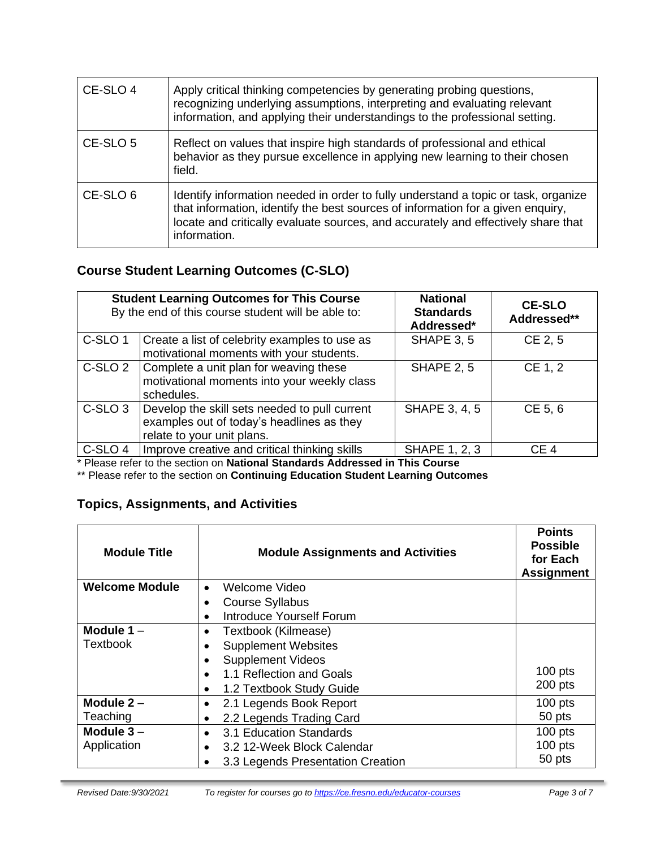| CE-SLO 4            | Apply critical thinking competencies by generating probing questions,<br>recognizing underlying assumptions, interpreting and evaluating relevant<br>information, and applying their understandings to the professional setting.                                           |
|---------------------|----------------------------------------------------------------------------------------------------------------------------------------------------------------------------------------------------------------------------------------------------------------------------|
| CE-SLO 5            | Reflect on values that inspire high standards of professional and ethical<br>behavior as they pursue excellence in applying new learning to their chosen<br>field.                                                                                                         |
| CE-SLO <sub>6</sub> | Identify information needed in order to fully understand a topic or task, organize<br>that information, identify the best sources of information for a given enquiry,<br>locate and critically evaluate sources, and accurately and effectively share that<br>information. |

# **Course Student Learning Outcomes (C-SLO)**

| <b>Student Learning Outcomes for This Course</b><br>By the end of this course student will be able to: |                                                                                                                          | <b>National</b><br><b>Standards</b><br>Addressed* | <b>CE-SLO</b><br>Addressed** |
|--------------------------------------------------------------------------------------------------------|--------------------------------------------------------------------------------------------------------------------------|---------------------------------------------------|------------------------------|
| C-SLO <sub>1</sub>                                                                                     | Create a list of celebrity examples to use as<br>motivational moments with your students.                                | SHAPE 3, 5                                        | CE 2, 5                      |
| C-SLO <sub>2</sub>                                                                                     | Complete a unit plan for weaving these<br>motivational moments into your weekly class<br>schedules.                      | <b>SHAPE 2, 5</b>                                 | CE 1, 2                      |
| C-SLO <sub>3</sub>                                                                                     | Develop the skill sets needed to pull current<br>examples out of today's headlines as they<br>relate to your unit plans. | SHAPE 3, 4, 5                                     | CE 5, 6                      |
| C-SLO <sub>4</sub>                                                                                     | Improve creative and critical thinking skills                                                                            | <b>SHAPE 1, 2, 3</b>                              | CE <sub>4</sub>              |

\* Please refer to the section on **National Standards Addressed in This Course**

\*\* Please refer to the section on **Continuing Education Student Learning Outcomes**

# **Topics, Assignments, and Activities**

| <b>Module Title</b>   | <b>Module Assignments and Activities</b> | <b>Points</b><br><b>Possible</b><br>for Each<br><b>Assignment</b> |
|-----------------------|------------------------------------------|-------------------------------------------------------------------|
| <b>Welcome Module</b> | Welcome Video<br>$\bullet$               |                                                                   |
|                       | <b>Course Syllabus</b>                   |                                                                   |
|                       | Introduce Yourself Forum                 |                                                                   |
| Module $1 -$          | Textbook (Kilmease)                      |                                                                   |
| Textbook              | <b>Supplement Websites</b>               |                                                                   |
|                       | <b>Supplement Videos</b>                 |                                                                   |
|                       | 1.1 Reflection and Goals<br>$\bullet$    | $100$ pts                                                         |
|                       | 1.2 Textbook Study Guide                 | 200 pts                                                           |
| Module $2-$           | 2.1 Legends Book Report                  | $100$ pts                                                         |
| Teaching              | 2.2 Legends Trading Card                 | 50 pts                                                            |
| Module $3 -$          | 3.1 Education Standards<br>$\bullet$     | $100$ pts                                                         |
| Application           | 3.2 12-Week Block Calendar               | $100$ pts                                                         |
|                       | 3.3 Legends Presentation Creation        | 50 pts                                                            |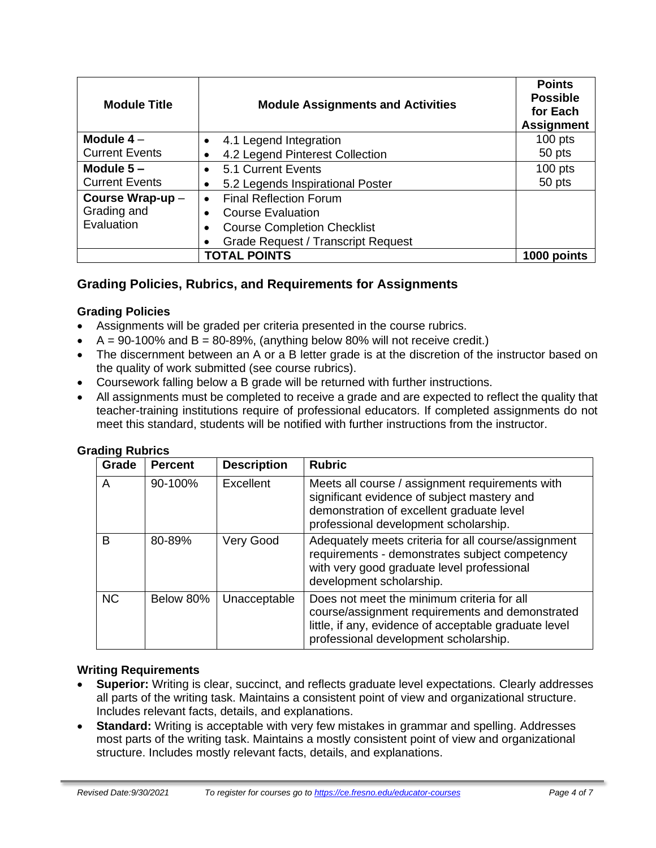| <b>Module Title</b>   | <b>Module Assignments and Activities</b>  | <b>Points</b><br><b>Possible</b><br>for Each<br><b>Assignment</b> |
|-----------------------|-------------------------------------------|-------------------------------------------------------------------|
| Module $4-$           | 4.1 Legend Integration                    | $100$ pts                                                         |
| <b>Current Events</b> | 4.2 Legend Pinterest Collection           | 50 pts                                                            |
| Module $5 -$          | 5.1 Current Events                        | $100$ pts                                                         |
| <b>Current Events</b> | 5.2 Legends Inspirational Poster          | 50 pts                                                            |
| Course Wrap-up -      | <b>Final Reflection Forum</b>             |                                                                   |
| Grading and           | <b>Course Evaluation</b>                  |                                                                   |
| Evaluation            | <b>Course Completion Checklist</b>        |                                                                   |
|                       | <b>Grade Request / Transcript Request</b> |                                                                   |
|                       | <b>TOTAL POINTS</b>                       | 1000 points                                                       |

# **Grading Policies, Rubrics, and Requirements for Assignments**

#### **Grading Policies**

- Assignments will be graded per criteria presented in the course rubrics.
- $A = 90-100\%$  and  $B = 80-89\%$ , (anything below 80% will not receive credit.)
- The discernment between an A or a B letter grade is at the discretion of the instructor based on the quality of work submitted (see course rubrics).
- Coursework falling below a B grade will be returned with further instructions.
- All assignments must be completed to receive a grade and are expected to reflect the quality that teacher-training institutions require of professional educators. If completed assignments do not meet this standard, students will be notified with further instructions from the instructor.

| Grade     | <b>Percent</b> | <b>Description</b> | <b>Rubric</b>                                                                                                                                                                                   |
|-----------|----------------|--------------------|-------------------------------------------------------------------------------------------------------------------------------------------------------------------------------------------------|
| A         | 90-100%        | Excellent          | Meets all course / assignment requirements with<br>significant evidence of subject mastery and<br>demonstration of excellent graduate level<br>professional development scholarship.            |
| B         | 80-89%         | Very Good          | Adequately meets criteria for all course/assignment<br>requirements - demonstrates subject competency<br>with very good graduate level professional<br>development scholarship.                 |
| <b>NC</b> | Below 80%      | Unacceptable       | Does not meet the minimum criteria for all<br>course/assignment requirements and demonstrated<br>little, if any, evidence of acceptable graduate level<br>professional development scholarship. |

#### **Grading Rubrics**

#### **Writing Requirements**

- **Superior:** Writing is clear, succinct, and reflects graduate level expectations. Clearly addresses all parts of the writing task. Maintains a consistent point of view and organizational structure. Includes relevant facts, details, and explanations.
- **Standard:** Writing is acceptable with very few mistakes in grammar and spelling. Addresses most parts of the writing task. Maintains a mostly consistent point of view and organizational structure. Includes mostly relevant facts, details, and explanations.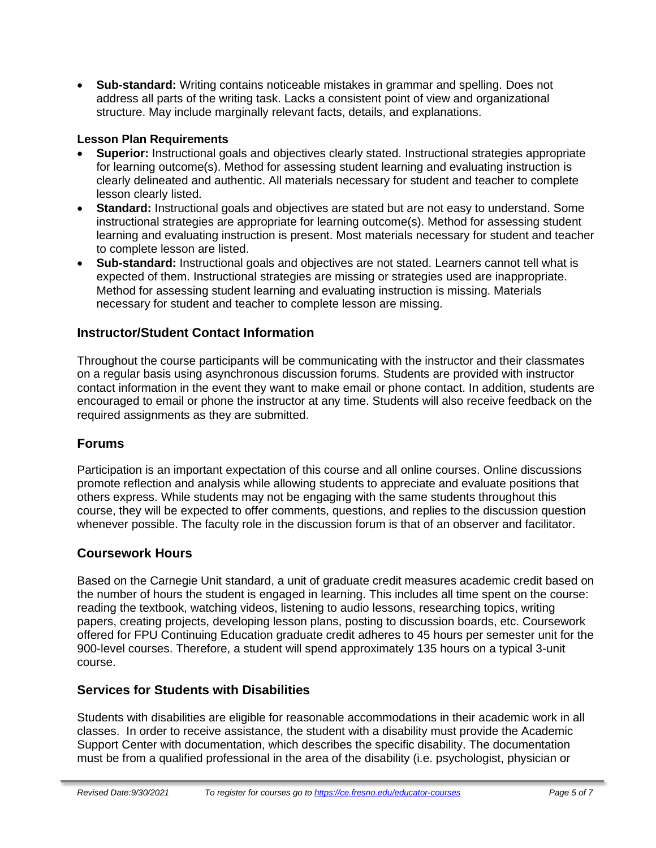• **Sub-standard:** Writing contains noticeable mistakes in grammar and spelling. Does not address all parts of the writing task. Lacks a consistent point of view and organizational structure. May include marginally relevant facts, details, and explanations.

### **Lesson Plan Requirements**

- **Superior:** Instructional goals and objectives clearly stated. Instructional strategies appropriate for learning outcome(s). Method for assessing student learning and evaluating instruction is clearly delineated and authentic. All materials necessary for student and teacher to complete lesson clearly listed.
- **Standard:** Instructional goals and objectives are stated but are not easy to understand. Some instructional strategies are appropriate for learning outcome(s). Method for assessing student learning and evaluating instruction is present. Most materials necessary for student and teacher to complete lesson are listed.
- **Sub-standard:** Instructional goals and objectives are not stated. Learners cannot tell what is expected of them. Instructional strategies are missing or strategies used are inappropriate. Method for assessing student learning and evaluating instruction is missing. Materials necessary for student and teacher to complete lesson are missing.

# **Instructor/Student Contact Information**

Throughout the course participants will be communicating with the instructor and their classmates on a regular basis using asynchronous discussion forums. Students are provided with instructor contact information in the event they want to make email or phone contact. In addition, students are encouraged to email or phone the instructor at any time. Students will also receive feedback on the required assignments as they are submitted.

### **Forums**

Participation is an important expectation of this course and all online courses. Online discussions promote reflection and analysis while allowing students to appreciate and evaluate positions that others express. While students may not be engaging with the same students throughout this course, they will be expected to offer comments, questions, and replies to the discussion question whenever possible. The faculty role in the discussion forum is that of an observer and facilitator.

### **Coursework Hours**

Based on the Carnegie Unit standard, a unit of graduate credit measures academic credit based on the number of hours the student is engaged in learning. This includes all time spent on the course: reading the textbook, watching videos, listening to audio lessons, researching topics, writing papers, creating projects, developing lesson plans, posting to discussion boards, etc. Coursework offered for FPU Continuing Education graduate credit adheres to 45 hours per semester unit for the 900-level courses. Therefore, a student will spend approximately 135 hours on a typical 3-unit course.

### **Services for Students with Disabilities**

Students with disabilities are eligible for reasonable accommodations in their academic work in all classes. In order to receive assistance, the student with a disability must provide the Academic Support Center with documentation, which describes the specific disability. The documentation must be from a qualified professional in the area of the disability (i.e. psychologist, physician or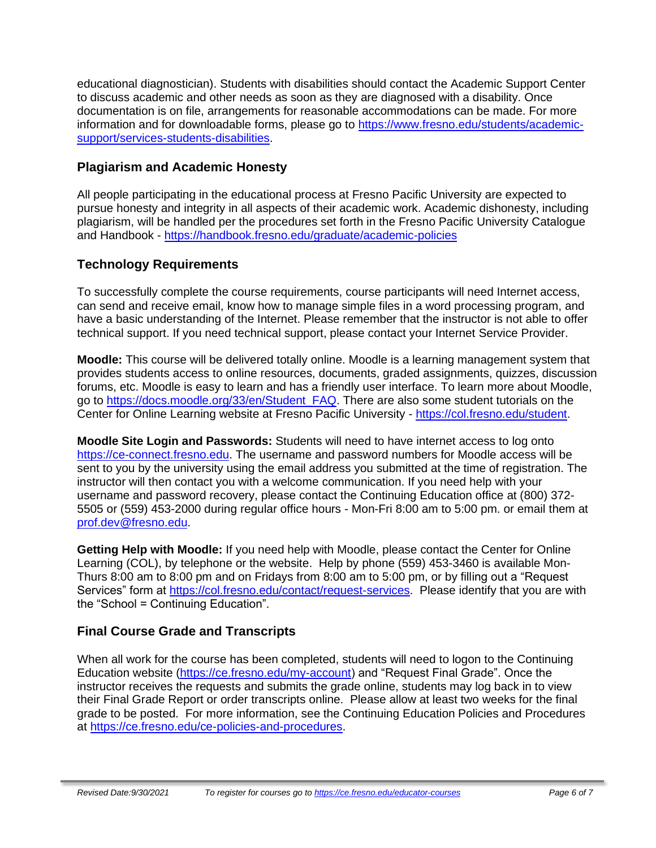educational diagnostician). Students with disabilities should contact the Academic Support Center to discuss academic and other needs as soon as they are diagnosed with a disability. Once documentation is on file, arrangements for reasonable accommodations can be made. For more information and for downloadable forms, please go to [https://www.fresno.edu/students/academic](https://www.fresno.edu/students/academic-support/services-students-disabilities)[support/services-students-disabilities.](https://www.fresno.edu/students/academic-support/services-students-disabilities)

# **Plagiarism and Academic Honesty**

All people participating in the educational process at Fresno Pacific University are expected to pursue honesty and integrity in all aspects of their academic work. Academic dishonesty, including plagiarism, will be handled per the procedures set forth in the Fresno Pacific University Catalogue and Handbook - <https://handbook.fresno.edu/graduate/academic-policies>

# **Technology Requirements**

To successfully complete the course requirements, course participants will need Internet access, can send and receive email, know how to manage simple files in a word processing program, and have a basic understanding of the Internet. Please remember that the instructor is not able to offer technical support. If you need technical support, please contact your Internet Service Provider.

**Moodle:** This course will be delivered totally online. Moodle is a learning management system that provides students access to online resources, documents, graded assignments, quizzes, discussion forums, etc. Moodle is easy to learn and has a friendly user interface. To learn more about Moodle, go to [https://docs.moodle.org/33/en/Student\\_FAQ.](https://docs.moodle.org/33/en/Student_FAQ) There are also some student tutorials on the Center for Online Learning website at Fresno Pacific University - [https://col.fresno.edu/student.](https://col.fresno.edu/student)

**Moodle Site Login and Passwords:** Students will need to have internet access to log onto [https://ce-connect.fresno.edu.](https://ce-connect.fresno.edu/) The username and password numbers for Moodle access will be sent to you by the university using the email address you submitted at the time of registration. The instructor will then contact you with a welcome communication. If you need help with your username and password recovery, please contact the Continuing Education office at (800) 372- 5505 or (559) 453-2000 during regular office hours - Mon-Fri 8:00 am to 5:00 pm. or email them at [prof.dev@fresno.edu.](mailto:prof.dev@fresno.edu)

**Getting Help with Moodle:** If you need help with Moodle, please contact the Center for Online Learning (COL), by telephone or the website. Help by phone (559) 453-3460 is available Mon-Thurs 8:00 am to 8:00 pm and on Fridays from 8:00 am to 5:00 pm, or by filling out a "Request Services" form at [https://col.fresno.edu/contact/request-services.](https://col.fresno.edu/contact/request-services) Please identify that you are with the "School = Continuing Education".

# **Final Course Grade and Transcripts**

When all work for the course has been completed, students will need to logon to the Continuing Education website [\(https://ce.fresno.edu/my-account\)](https://ce.fresno.edu/my-account) and "Request Final Grade". Once the instructor receives the requests and submits the grade online, students may log back in to view their Final Grade Report or order transcripts online. Please allow at least two weeks for the final grade to be posted. For more information, see the Continuing Education Policies and Procedures at [https://ce.fresno.edu/ce-policies-and-procedures.](https://ce.fresno.edu/ce-policies-and-procedures)